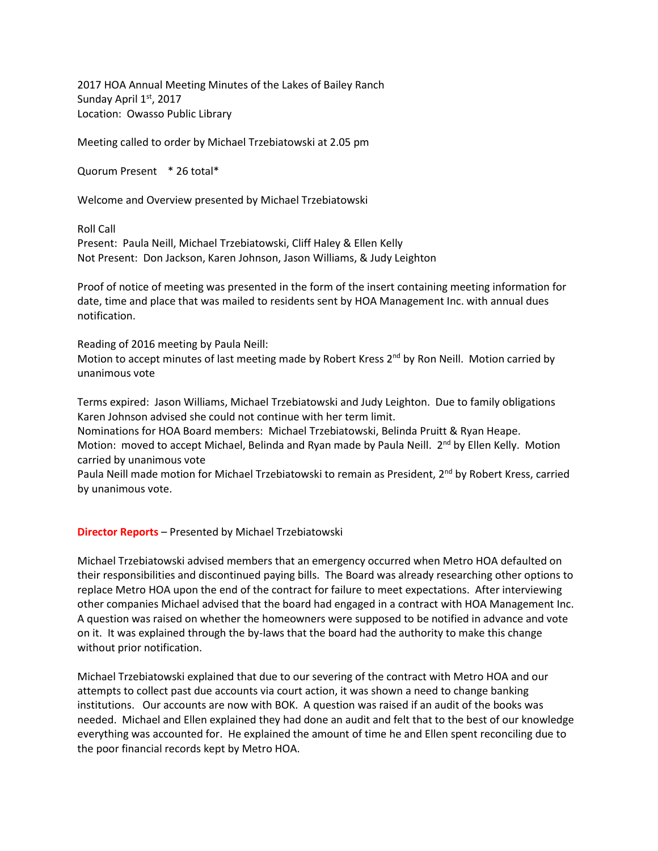2017 HOA Annual Meeting Minutes of the Lakes of Bailey Ranch Sunday April 1st, 2017 Location: Owasso Public Library

Meeting called to order by Michael Trzebiatowski at 2.05 pm

Quorum Present \* 26 total\*

Welcome and Overview presented by Michael Trzebiatowski

Roll Call

Present: Paula Neill, Michael Trzebiatowski, Cliff Haley & Ellen Kelly Not Present: Don Jackson, Karen Johnson, Jason Williams, & Judy Leighton

Proof of notice of meeting was presented in the form of the insert containing meeting information for date, time and place that was mailed to residents sent by HOA Management Inc. with annual dues notification.

Reading of 2016 meeting by Paula Neill:

Motion to accept minutes of last meeting made by Robert Kress 2<sup>nd</sup> by Ron Neill. Motion carried by unanimous vote

Terms expired: Jason Williams, Michael Trzebiatowski and Judy Leighton. Due to family obligations Karen Johnson advised she could not continue with her term limit.

Nominations for HOA Board members: Michael Trzebiatowski, Belinda Pruitt & Ryan Heape. Motion: moved to accept Michael, Belinda and Ryan made by Paula Neill. 2<sup>nd</sup> by Ellen Kelly. Motion carried by unanimous vote

Paula Neill made motion for Michael Trzebiatowski to remain as President, 2<sup>nd</sup> by Robert Kress, carried by unanimous vote.

## **Director Reports** – Presented by Michael Trzebiatowski

Michael Trzebiatowski advised members that an emergency occurred when Metro HOA defaulted on their responsibilities and discontinued paying bills. The Board was already researching other options to replace Metro HOA upon the end of the contract for failure to meet expectations. After interviewing other companies Michael advised that the board had engaged in a contract with HOA Management Inc. A question was raised on whether the homeowners were supposed to be notified in advance and vote on it. It was explained through the by-laws that the board had the authority to make this change without prior notification.

Michael Trzebiatowski explained that due to our severing of the contract with Metro HOA and our attempts to collect past due accounts via court action, it was shown a need to change banking institutions. Our accounts are now with BOK. A question was raised if an audit of the books was needed. Michael and Ellen explained they had done an audit and felt that to the best of our knowledge everything was accounted for. He explained the amount of time he and Ellen spent reconciling due to the poor financial records kept by Metro HOA.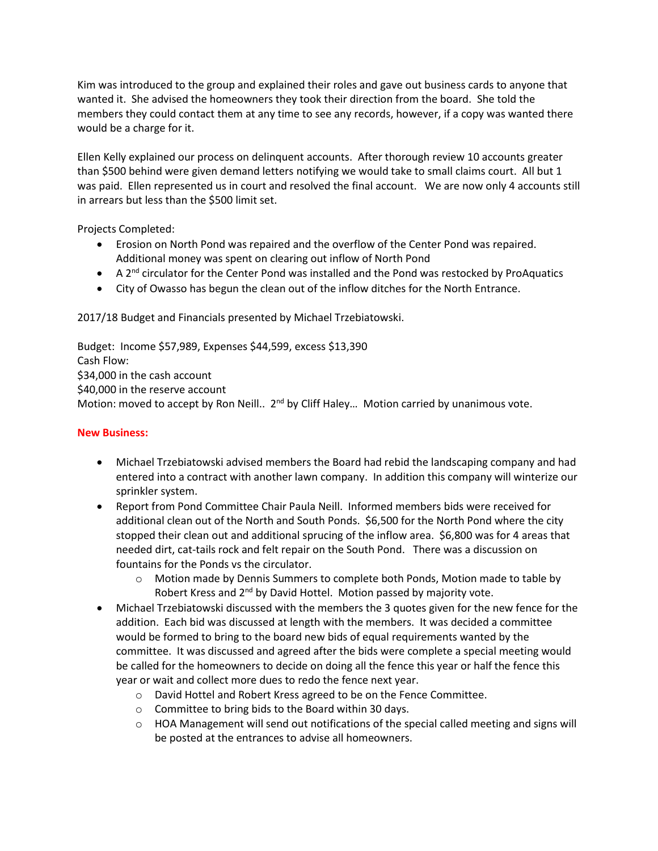Kim was introduced to the group and explained their roles and gave out business cards to anyone that wanted it. She advised the homeowners they took their direction from the board. She told the members they could contact them at any time to see any records, however, if a copy was wanted there would be a charge for it.

Ellen Kelly explained our process on delinquent accounts. After thorough review 10 accounts greater than \$500 behind were given demand letters notifying we would take to small claims court. All but 1 was paid. Ellen represented us in court and resolved the final account. We are now only 4 accounts still in arrears but less than the \$500 limit set.

Projects Completed:

- Erosion on North Pond was repaired and the overflow of the Center Pond was repaired. Additional money was spent on clearing out inflow of North Pond
- $\bullet$  A 2<sup>nd</sup> circulator for the Center Pond was installed and the Pond was restocked by ProAquatics
- City of Owasso has begun the clean out of the inflow ditches for the North Entrance.

2017/18 Budget and Financials presented by Michael Trzebiatowski.

Budget: Income \$57,989, Expenses \$44,599, excess \$13,390 Cash Flow: \$34,000 in the cash account \$40,000 in the reserve account Motion: moved to accept by Ron Neill.. 2<sup>nd</sup> by Cliff Haley... Motion carried by unanimous vote.

## **New Business:**

- Michael Trzebiatowski advised members the Board had rebid the landscaping company and had entered into a contract with another lawn company. In addition this company will winterize our sprinkler system.
- Report from Pond Committee Chair Paula Neill. Informed members bids were received for additional clean out of the North and South Ponds. \$6,500 for the North Pond where the city stopped their clean out and additional sprucing of the inflow area. \$6,800 was for 4 areas that needed dirt, cat-tails rock and felt repair on the South Pond. There was a discussion on fountains for the Ponds vs the circulator.
	- o Motion made by Dennis Summers to complete both Ponds, Motion made to table by Robert Kress and 2<sup>nd</sup> by David Hottel. Motion passed by majority vote.
- Michael Trzebiatowski discussed with the members the 3 quotes given for the new fence for the addition. Each bid was discussed at length with the members. It was decided a committee would be formed to bring to the board new bids of equal requirements wanted by the committee. It was discussed and agreed after the bids were complete a special meeting would be called for the homeowners to decide on doing all the fence this year or half the fence this year or wait and collect more dues to redo the fence next year.
	- o David Hottel and Robert Kress agreed to be on the Fence Committee.
	- o Committee to bring bids to the Board within 30 days.
	- $\circ$  HOA Management will send out notifications of the special called meeting and signs will be posted at the entrances to advise all homeowners.